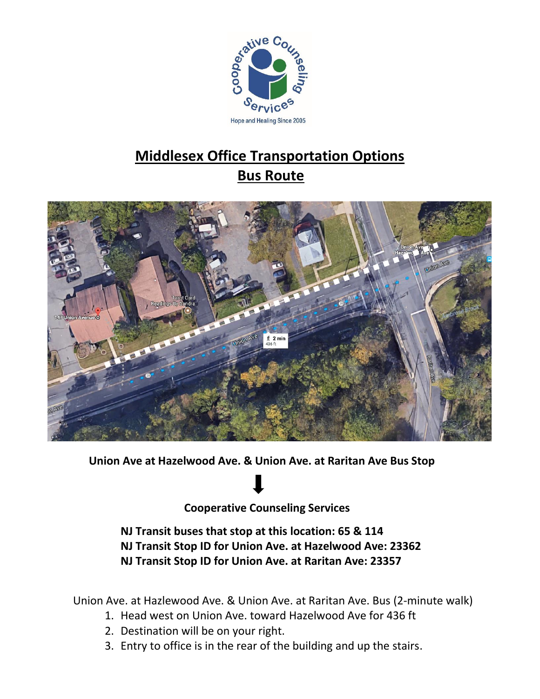

# **Middlesex Office Transportation Options Bus Route**



**Union Ave at Hazelwood Ave. & Union Ave. at Raritan Ave Bus Stop**

**Cooperative Counseling Services**

**NJ Transit buses that stop at this location: 65 & 114 NJ Transit Stop ID for Union Ave. at Hazelwood Ave: 23362 NJ Transit Stop ID for Union Ave. at Raritan Ave: 23357**

Union Ave. at Hazlewood Ave. & Union Ave. at Raritan Ave. Bus (2-minute walk)

- 1. Head west on Union Ave. toward Hazelwood Ave for 436 ft
- 2. Destination will be on your right.
- 3. Entry to office is in the rear of the building and up the stairs.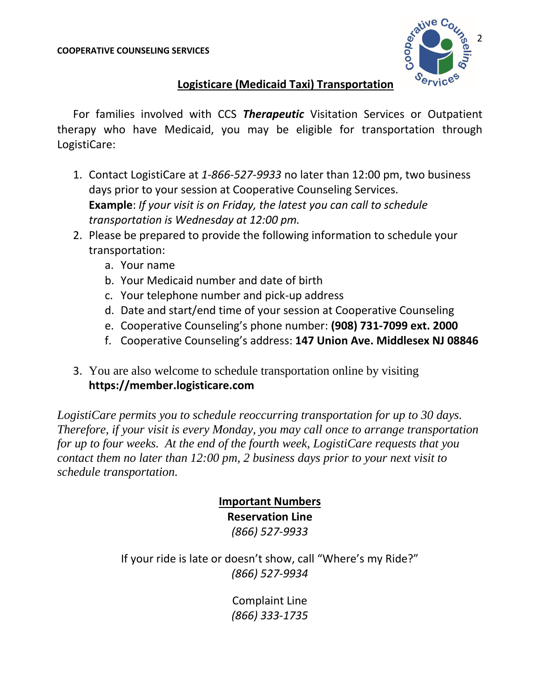

#### **Logisticare (Medicaid Taxi) Transportation**

For families involved with CCS *Therapeutic* Visitation Services or Outpatient therapy who have Medicaid, you may be eligible for transportation through LogistiCare:

- 1. Contact LogistiCare at *1-866-527-9933* no later than 12:00 pm, two business days prior to your session at Cooperative Counseling Services. **Example**: *If your visit is on Friday, the latest you can call to schedule transportation is Wednesday at 12:00 pm.*
- 2. Please be prepared to provide the following information to schedule your transportation:
	- a. Your name
	- b. Your Medicaid number and date of birth
	- c. Your telephone number and pick-up address
	- d. Date and start/end time of your session at Cooperative Counseling
	- e. Cooperative Counseling's phone number: **(908) 731-7099 ext. 2000**
	- f. Cooperative Counseling's address: **147 Union Ave. Middlesex NJ 08846**
- 3. You are also welcome to schedule transportation online by visiting **https://member.logisticare.com**

*LogistiCare permits you to schedule reoccurring transportation for up to 30 days. Therefore, if your visit is every Monday, you may call once to arrange transportation for up to four weeks. At the end of the fourth week, LogistiCare requests that you contact them no later than 12:00 pm, 2 business days prior to your next visit to schedule transportation.*

## **Important Numbers Reservation Line**

*(866) 527-9933*

If your ride is late or doesn't show, call "Where's my Ride?" *(866) 527-9934*

> Complaint Line *(866) 333-1735*